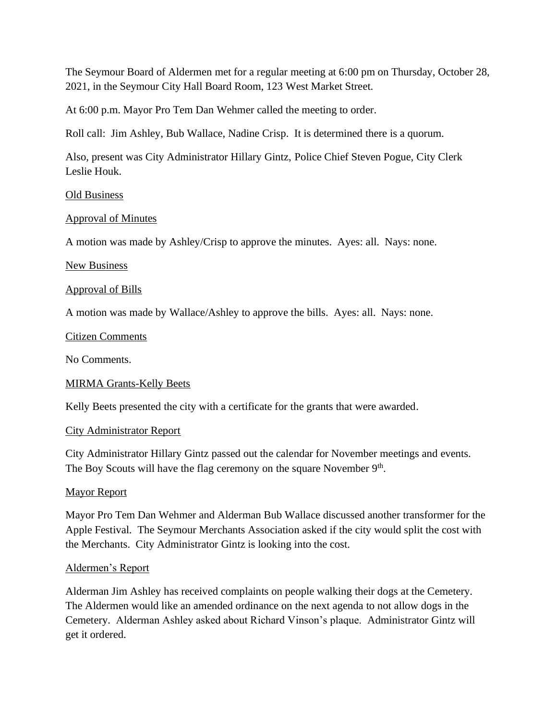The Seymour Board of Aldermen met for a regular meeting at 6:00 pm on Thursday, October 28, 2021, in the Seymour City Hall Board Room, 123 West Market Street.

At 6:00 p.m. Mayor Pro Tem Dan Wehmer called the meeting to order.

Roll call: Jim Ashley, Bub Wallace, Nadine Crisp. It is determined there is a quorum.

Also, present was City Administrator Hillary Gintz, Police Chief Steven Pogue, City Clerk Leslie Houk.

# Old Business

# Approval of Minutes

A motion was made by Ashley/Crisp to approve the minutes. Ayes: all. Nays: none.

## New Business

## Approval of Bills

A motion was made by Wallace/Ashley to approve the bills. Ayes: all. Nays: none.

## Citizen Comments

No Comments.

# MIRMA Grants-Kelly Beets

Kelly Beets presented the city with a certificate for the grants that were awarded.

# City Administrator Report

City Administrator Hillary Gintz passed out the calendar for November meetings and events. The Boy Scouts will have the flag ceremony on the square November 9<sup>th</sup>.

# Mayor Report

Mayor Pro Tem Dan Wehmer and Alderman Bub Wallace discussed another transformer for the Apple Festival. The Seymour Merchants Association asked if the city would split the cost with the Merchants. City Administrator Gintz is looking into the cost.

# Aldermen's Report

Alderman Jim Ashley has received complaints on people walking their dogs at the Cemetery. The Aldermen would like an amended ordinance on the next agenda to not allow dogs in the Cemetery. Alderman Ashley asked about Richard Vinson's plaque. Administrator Gintz will get it ordered.